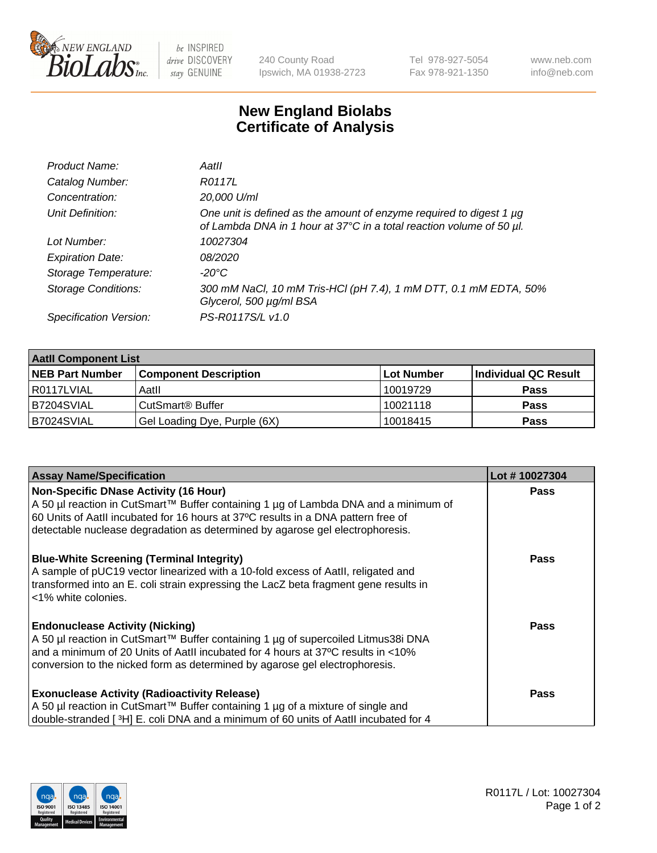

 $be$  INSPIRED drive DISCOVERY stay GENUINE

240 County Road Ipswich, MA 01938-2723 Tel 978-927-5054 Fax 978-921-1350 www.neb.com info@neb.com

## **New England Biolabs Certificate of Analysis**

| Product Name:              | Aatll                                                                                                                                       |
|----------------------------|---------------------------------------------------------------------------------------------------------------------------------------------|
| Catalog Number:            | R0117L                                                                                                                                      |
| Concentration:             | 20,000 U/ml                                                                                                                                 |
| Unit Definition:           | One unit is defined as the amount of enzyme required to digest 1 µg<br>of Lambda DNA in 1 hour at 37°C in a total reaction volume of 50 µl. |
| Lot Number:                | 10027304                                                                                                                                    |
| <b>Expiration Date:</b>    | <i>08/2020</i>                                                                                                                              |
| Storage Temperature:       | -20°C                                                                                                                                       |
| <b>Storage Conditions:</b> | 300 mM NaCl, 10 mM Tris-HCl (pH 7.4), 1 mM DTT, 0.1 mM EDTA, 50%<br>Glycerol, 500 µg/ml BSA                                                 |
| Specification Version:     | PS-R0117S/L v1.0                                                                                                                            |

| <b>Aatll Component List</b> |                              |            |                      |  |  |
|-----------------------------|------------------------------|------------|----------------------|--|--|
| <b>NEB Part Number</b>      | <b>Component Description</b> | Lot Number | Individual QC Result |  |  |
| R0117LVIAL                  | Aatll                        | 10019729   | <b>Pass</b>          |  |  |
| B7204SVIAL                  | CutSmart <sup>®</sup> Buffer | 10021118   | <b>Pass</b>          |  |  |
| B7024SVIAL                  | Gel Loading Dye, Purple (6X) | 10018415   | <b>Pass</b>          |  |  |

| <b>Assay Name/Specification</b>                                                      | Lot #10027304 |
|--------------------------------------------------------------------------------------|---------------|
| Non-Specific DNase Activity (16 Hour)                                                | <b>Pass</b>   |
| A 50 µl reaction in CutSmart™ Buffer containing 1 µg of Lambda DNA and a minimum of  |               |
| 60 Units of AatII incubated for 16 hours at 37°C results in a DNA pattern free of    |               |
| detectable nuclease degradation as determined by agarose gel electrophoresis.        |               |
| <b>Blue-White Screening (Terminal Integrity)</b>                                     | <b>Pass</b>   |
| A sample of pUC19 vector linearized with a 10-fold excess of Aatll, religated and    |               |
| transformed into an E. coli strain expressing the LacZ beta fragment gene results in |               |
| l <1% white colonies.                                                                |               |
| <b>Endonuclease Activity (Nicking)</b>                                               | Pass          |
| A 50 µl reaction in CutSmart™ Buffer containing 1 µg of supercoiled Litmus38i DNA    |               |
| and a minimum of 20 Units of AatII incubated for 4 hours at 37°C results in <10%     |               |
| conversion to the nicked form as determined by agarose gel electrophoresis.          |               |
| <b>Exonuclease Activity (Radioactivity Release)</b>                                  | <b>Pass</b>   |
| A 50 µl reaction in CutSmart™ Buffer containing 1 µg of a mixture of single and      |               |
| double-stranded [3H] E. coli DNA and a minimum of 60 units of Aatll incubated for 4  |               |